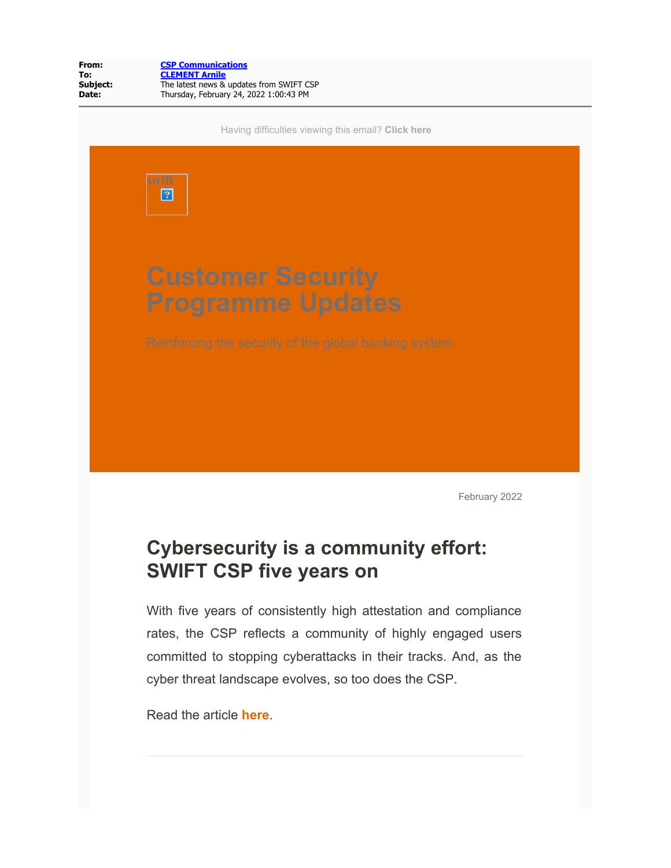

February 2022

# **Cybersecurity is a community effort: SWIFT CSP five years on**

With five years of consistently high attestation and compliance rates, the CSP reflects a community of highly engaged users committed to stopping cyberattacks in their tracks. And, as the cyber threat landscape evolves, so too does the CSP.

Read the article **[here](https://info.em.swift.com/MzI3LU9KUC01MzEAAAGCypHbdhCpb4PLcmJxoeZms_yqSd-875iRKQYcjpmZaHN0yFzsnnSC01b0uhDvsqlCh4YVew8=)**.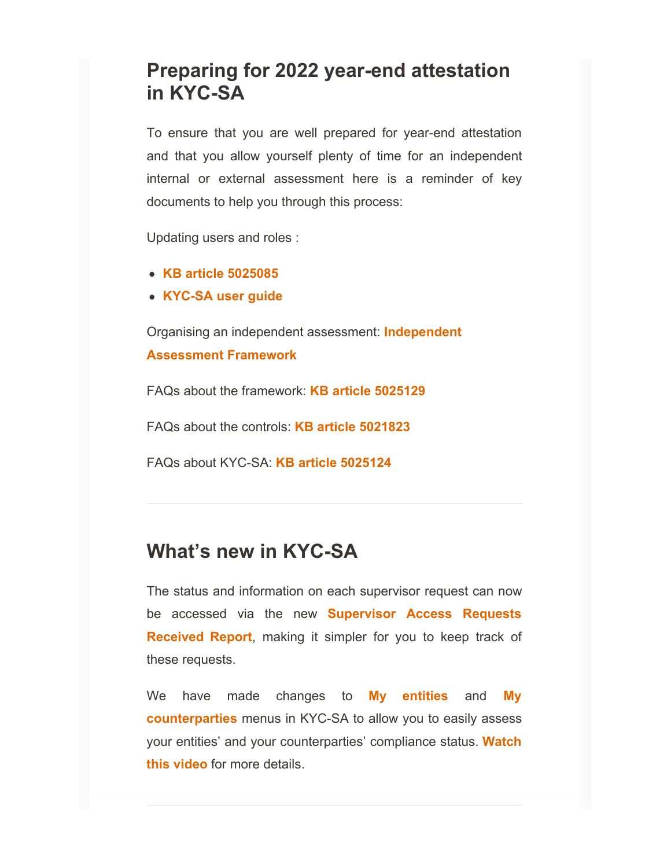## **Preparing for 2022 year-end attestation in KYC-SA**

To ensure that you are well prepared for year-end attestation and that you allow yourself plenty of time for an independent internal or external assessment here is a reminder of key documents to help you through this process:

Updating users and roles :

- **[KB article 5025085](https://info.em.swift.com/MzI3LU9KUC01MzEAAAGCypHbdpWV2cKkwvcFkh4Tlmd4oJlI8ojlv8njYr2PpkJZjpdhk4OXQL6vxRsVBr4QLZS8ZoQ=)**
- **[KYC-SA user guide](https://info.em.swift.com/MzI3LU9KUC01MzEAAAGCypHbdgjPhfNpNdh3eJOAKzymxKxhJg3qLkbFmfQ8sJB_WajPlKTNpc-GDIcTOzbm-vO2OBQ=)**

Organising an independent assessment: **[Independent](https://info.em.swift.com/MzI3LU9KUC01MzEAAAGCypHbdeGOu8-VbZFjKXFUDZwMbMSB1iGx0NIMsagbO5Q-I01aV9BcQMadxwFOvq4oK63CsfY=) [Assessment Framework](https://info.em.swift.com/MzI3LU9KUC01MzEAAAGCypHbdeGOu8-VbZFjKXFUDZwMbMSB1iGx0NIMsagbO5Q-I01aV9BcQMadxwFOvq4oK63CsfY=)**

FAQs about the framework: **[KB article 5025129](https://info.em.swift.com/MzI3LU9KUC01MzEAAAGCypHbdmdIGwI-P_4lEAISFjzepQ2mSpbFGgEWzWFu3s9yLtqw2cRUr51S-q6_AKMLm5HJZac=)**

FAQs about the controls: **[KB article 5021823](https://info.em.swift.com/MzI3LU9KUC01MzEAAAGCypHbdv3BpDQOHAyFss6g2z5SpSZ-O7jaFDYdJo2Sys0bHlEopRO5QdObjh_CsXEqesZloR0=)**

FAQs about KYC-SA: **[KB article 5025124](https://info.em.swift.com/MzI3LU9KUC01MzEAAAGCypHbdkVgEWGPHYvvyjv7NLYm-r7Ya01lrNihjhqXJlW4ld702H_wozOuniFCqqmL8lwDTuU=)**

### **What's new in KYC-SA**

The status and information on each supervisor request can now be accessed via the new **[Supervisor Access Requests](https://info.em.swift.com/MzI3LU9KUC01MzEAAAGCypHbdRAIQqTsOTC6QteSFb_BPmuX1Jq40zL7JNn2OhtTilGmZcnjznZfDt0lOVJkU0-SRDc=) [Received Report](https://info.em.swift.com/MzI3LU9KUC01MzEAAAGCypHbdRAIQqTsOTC6QteSFb_BPmuX1Jq40zL7JNn2OhtTilGmZcnjznZfDt0lOVJkU0-SRDc=)**, making it simpler for you to keep track of these requests.

We have made changes to **[My entities](https://info.em.swift.com/MzI3LU9KUC01MzEAAAGCypHbdrjNgZX2Vew5EAZAo7AtRaEMXLYLayPMK7LmgpA4nblf-saX6JS8Ok_PuGmhKzXbag0=)** and **[My](https://info.em.swift.com/MzI3LU9KUC01MzEAAAGCypHbdQYenZb33BocyUn1pv7EqfyE2zamVHtCUwXZz6EETHK0lAqs0o5DCrfLuvl6ovPr9YE=) [counterparties](https://info.em.swift.com/MzI3LU9KUC01MzEAAAGCypHbdQYenZb33BocyUn1pv7EqfyE2zamVHtCUwXZz6EETHK0lAqs0o5DCrfLuvl6ovPr9YE=)** menus in KYC-SA to allow you to easily assess your entities' and your counterparties' compliance status. **[Watch](https://info.em.swift.com/MzI3LU9KUC01MzEAAAGCypHbdvNI6NjlP41E3-pBmttin2Zqd2yU15xIJzkxiF5vcbukulqXRw9eALOoTZ7uTBnuPrA=) [this video](https://info.em.swift.com/MzI3LU9KUC01MzEAAAGCypHbdvNI6NjlP41E3-pBmttin2Zqd2yU15xIJzkxiF5vcbukulqXRw9eALOoTZ7uTBnuPrA=)** for more details.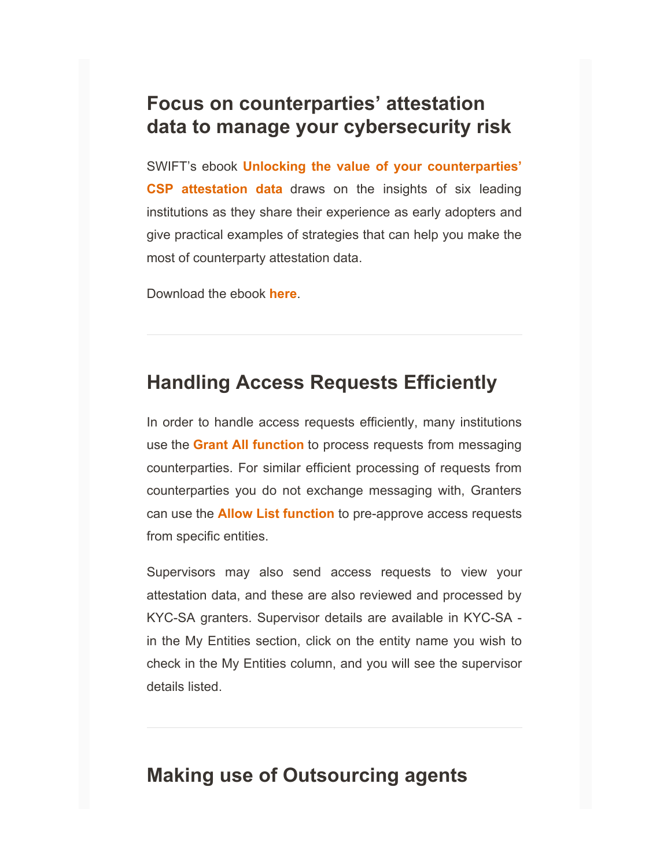### **Focus on counterparties' attestation data to manage your cybersecurity risk**

SWIFT's ebook **[Unlocking the value of your counterparties'](https://info.em.swift.com/MzI3LU9KUC01MzEAAAGCypHbdpeAXl4FflcZuZqPmFwW_JvDOxXN3LIS7eREi5b6ml1QU-eUH5pR0oeI4QwUajPvajY=) [CSP attestation data](https://info.em.swift.com/MzI3LU9KUC01MzEAAAGCypHbdpeAXl4FflcZuZqPmFwW_JvDOxXN3LIS7eREi5b6ml1QU-eUH5pR0oeI4QwUajPvajY=)** draws on the insights of six leading institutions as they share their experience as early adopters and give practical examples of strategies that can help you make the most of counterparty attestation data.

Download the ebook **[here](https://info.em.swift.com/MzI3LU9KUC01MzEAAAGCypHbdpeAXl4FflcZuZqPmFwW_JvDOxXN3LIS7eREi5b6ml1QU-eUH5pR0oeI4QwUajPvajY=)**.

#### **Handling Access Requests Efficiently**

In order to handle access requests efficiently, many institutions use the **[Grant All function](https://info.em.swift.com/MzI3LU9KUC01MzEAAAGCypHbdk1VpU_kym1_mrUTQttnYG1i63xLdTjiP_mZkTzbVzJE2Cu8uN8tHRFInTBBIsFG2oY=)** to process requests from messaging counterparties. For similar efficient processing of requests from counterparties you do not exchange messaging with, Granters can use the **[Allow List function](https://info.em.swift.com/MzI3LU9KUC01MzEAAAGCypHbduhHom9Nz-NBwsVdyO4Q_o0Pv7UAo28f-LQm9lQ4pY6zvyPEFuyQrgVQcCE-ugIARcE=)** to pre-approve access requests from specific entities.

Supervisors may also send access requests to view your attestation data, and these are also reviewed and processed by KYC-SA granters. Supervisor details are available in KYC-SA in the My Entities section, click on the entity name you wish to check in the My Entities column, and you will see the supervisor details listed.

#### **Making use of Outsourcing agents**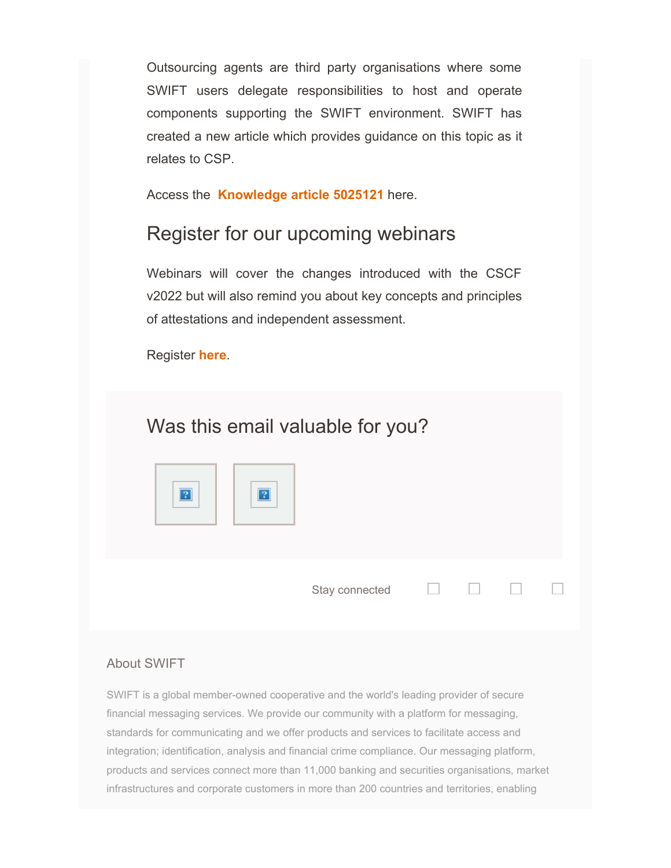Outsourcing agents are third party organisations where some SWIFT users delegate responsibilities to host and operate components supporting the SWIFT environment. SWIFT has created a new article which provides guidance on this topic as it relates to CSP.

Access the **[Knowledge article 5025121](https://info.em.swift.com/MzI3LU9KUC01MzEAAAGCypHbdlxKadtM-Bjl1gsiBifE7NCeuXzd7KAskx6vCjFCA3gR1T1FWLFk1iYqBS69baEWjsY=)** here.

#### Register for our upcoming webinars

Webinars will cover the changes introduced with the CSCF v2022 but will also remind you about key concepts and principles of attestations and independent assessment.

Register **[here](https://info.em.swift.com/MzI3LU9KUC01MzEAAAGCypHbdhNYjyTkbp-5W7VsdAcNJeJnfsK2xQ4_-iJCjzXkEbbODqk2XdlWshyfLthF3hxLYGw=)**.

# Was this email valuable for you?



Stay connected

П.

П

П

#### About SWIFT

SWIFT is a global member-owned cooperative and the world's leading provider of secure financial messaging services. We provide our community with a platform for messaging, standards for communicating and we offer products and services to facilitate access and integration; identification, analysis and financial crime compliance. Our messaging platform, products and services connect more than 11,000 banking and securities organisations, market infrastructures and corporate customers in more than 200 countries and territories, enabling